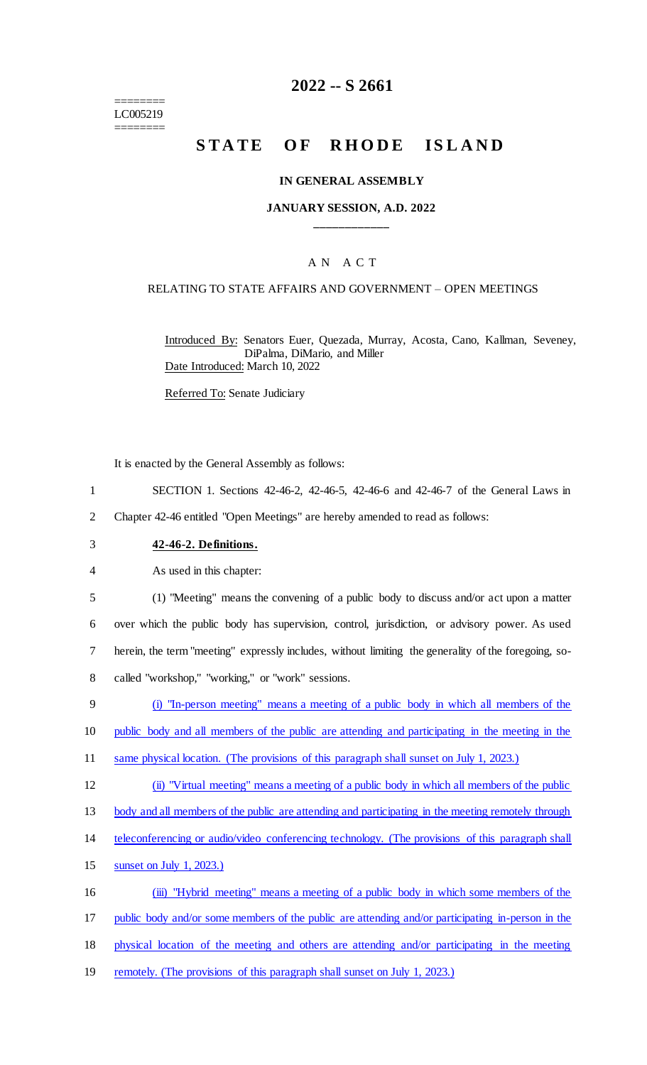======== LC005219 ========

### **2022 -- S 2661**

# **STATE OF RHODE ISLAND**

#### **IN GENERAL ASSEMBLY**

#### **JANUARY SESSION, A.D. 2022 \_\_\_\_\_\_\_\_\_\_\_\_**

### A N A C T

#### RELATING TO STATE AFFAIRS AND GOVERNMENT – OPEN MEETINGS

Introduced By: Senators Euer, Quezada, Murray, Acosta, Cano, Kallman, Seveney, DiPalma, DiMario, and Miller Date Introduced: March 10, 2022

Referred To: Senate Judiciary

It is enacted by the General Assembly as follows:

- 1 SECTION 1. Sections 42-46-2, 42-46-5, 42-46-6 and 42-46-7 of the General Laws in
- 2 Chapter 42-46 entitled "Open Meetings" are hereby amended to read as follows:
- 3 **42-46-2. Definitions.**

4 As used in this chapter:

 (1) "Meeting" means the convening of a public body to discuss and/or act upon a matter over which the public body has supervision, control, jurisdiction, or advisory power. As used herein, the term "meeting" expressly includes, without limiting the generality of the foregoing, so-called "workshop," "working," or "work" sessions.

9 (i) "In-person meeting" means a meeting of a public body in which all members of the

10 public body and all members of the public are attending and participating in the meeting in the

- 11 same physical location. (The provisions of this paragraph shall sunset on July 1, 2023.)
- 12 (ii) "Virtual meeting" means a meeting of a public body in which all members of the public

13 body and all members of the public are attending and participating in the meeting remotely through

- 14 teleconferencing or audio/video conferencing technology. (The provisions of this paragraph shall
- 15 sunset on July 1, 2023.)

16 (iii) "Hybrid meeting" means a meeting of a public body in which some members of the

17 public body and/or some members of the public are attending and/or participating in-person in the

- 18 physical location of the meeting and others are attending and/or participating in the meeting
- 19 remotely. (The provisions of this paragraph shall sunset on July 1, 2023.)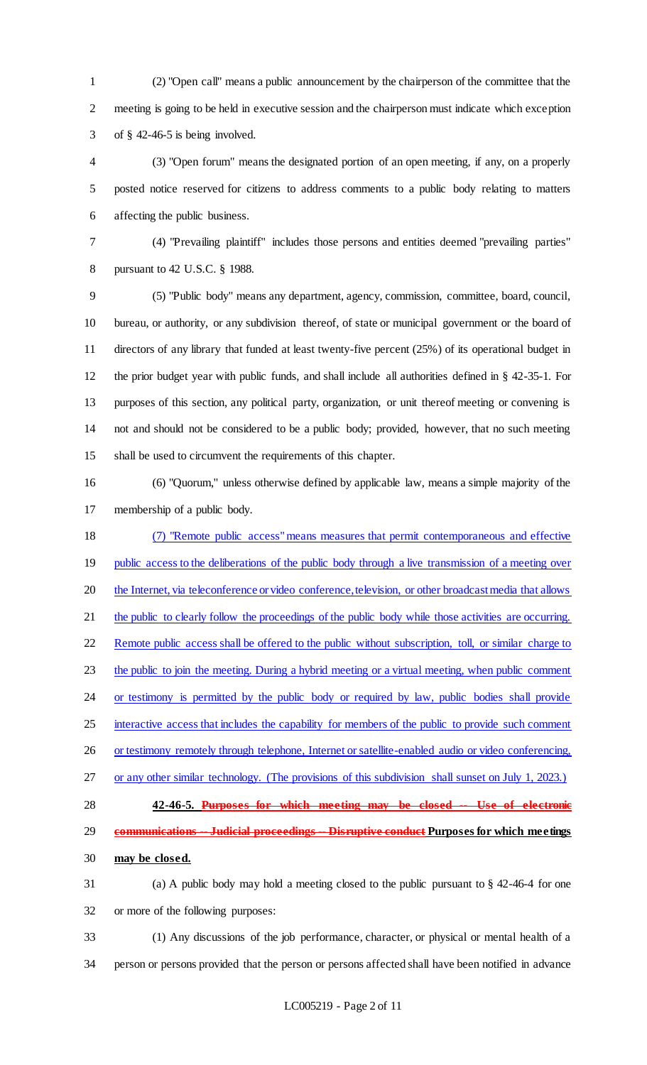(2) "Open call" means a public announcement by the chairperson of the committee that the meeting is going to be held in executive session and the chairperson must indicate which exception of § 42-46-5 is being involved.

 (3) "Open forum" means the designated portion of an open meeting, if any, on a properly posted notice reserved for citizens to address comments to a public body relating to matters affecting the public business.

 (4) "Prevailing plaintiff" includes those persons and entities deemed "prevailing parties" pursuant to 42 U.S.C. § 1988.

 (5) "Public body" means any department, agency, commission, committee, board, council, bureau, or authority, or any subdivision thereof, of state or municipal government or the board of directors of any library that funded at least twenty-five percent (25%) of its operational budget in the prior budget year with public funds, and shall include all authorities defined in § 42-35-1. For purposes of this section, any political party, organization, or unit thereof meeting or convening is not and should not be considered to be a public body; provided, however, that no such meeting shall be used to circumvent the requirements of this chapter.

 (6) "Quorum," unless otherwise defined by applicable law, means a simple majority of the membership of a public body.

 (7) "Remote public access"means measures that permit contemporaneous and effective 19 public access to the deliberations of the public body through a live transmission of a meeting over 20 the Internet, via teleconference or video conference, television, or other broadcast media that allows 21 the public to clearly follow the proceedings of the public body while those activities are occurring. Remote public access shall be offered to the public without subscription, toll, or similar charge to 23 the public to join the meeting. During a hybrid meeting or a virtual meeting, when public comment 24 or testimony is permitted by the public body or required by law, public bodies shall provide 25 interactive access that includes the capability for members of the public to provide such comment 26 or testimony remotely through telephone, Internet or satellite-enabled audio or video conferencing, or any other similar technology. (The provisions of this subdivision shall sunset on July 1, 2023.) **42-46-5. Purposes for which meeting may be closed -- Use of electronic communications -- Judicial proceedings -- Disruptive conduct Purposes for which meetings** 

- **may be closed.**
- (a) A public body may hold a meeting closed to the public pursuant to § 42-46-4 for one or more of the following purposes:
- (1) Any discussions of the job performance, character, or physical or mental health of a person or persons provided that the person or persons affected shall have been notified in advance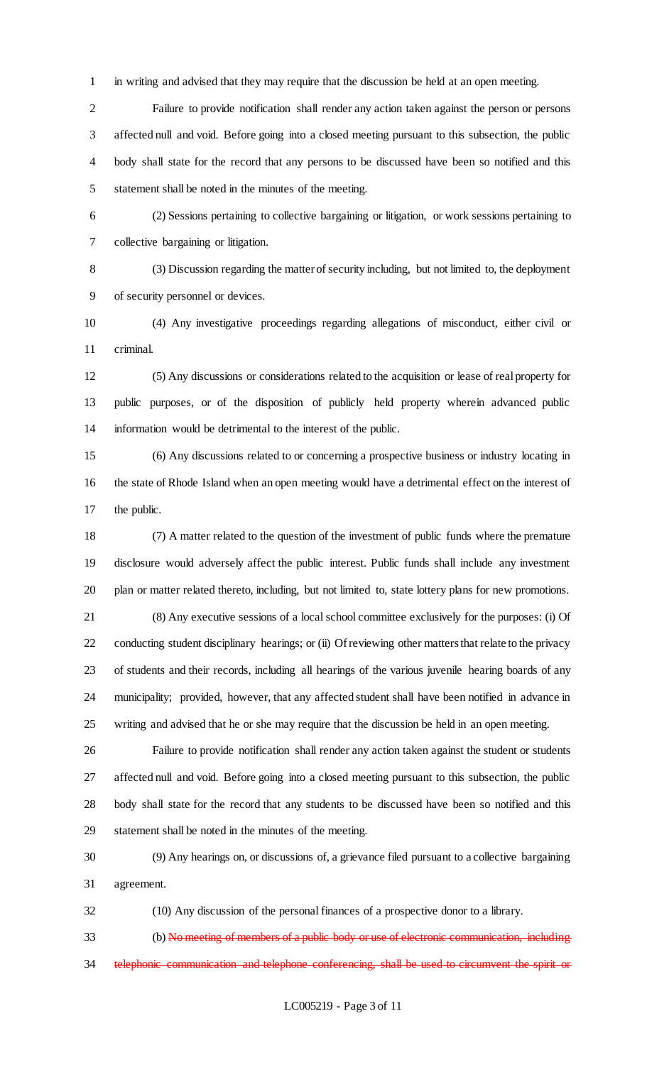in writing and advised that they may require that the discussion be held at an open meeting.

 Failure to provide notification shall render any action taken against the person or persons affected null and void. Before going into a closed meeting pursuant to this subsection, the public body shall state for the record that any persons to be discussed have been so notified and this statement shall be noted in the minutes of the meeting.

 (2) Sessions pertaining to collective bargaining or litigation, or work sessions pertaining to collective bargaining or litigation.

 (3) Discussion regarding the matter of security including, but not limited to, the deployment of security personnel or devices.

 (4) Any investigative proceedings regarding allegations of misconduct, either civil or criminal.

 (5) Any discussions or considerations related to the acquisition or lease of real property for public purposes, or of the disposition of publicly held property wherein advanced public information would be detrimental to the interest of the public.

 (6) Any discussions related to or concerning a prospective business or industry locating in the state of Rhode Island when an open meeting would have a detrimental effect on the interest of the public.

 (7) A matter related to the question of the investment of public funds where the premature disclosure would adversely affect the public interest. Public funds shall include any investment plan or matter related thereto, including, but not limited to, state lottery plans for new promotions.

 (8) Any executive sessions of a local school committee exclusively for the purposes: (i) Of conducting student disciplinary hearings; or (ii) Of reviewing other matters that relate to the privacy of students and their records, including all hearings of the various juvenile hearing boards of any municipality; provided, however, that any affected student shall have been notified in advance in writing and advised that he or she may require that the discussion be held in an open meeting.

 Failure to provide notification shall render any action taken against the student or students affected null and void. Before going into a closed meeting pursuant to this subsection, the public body shall state for the record that any students to be discussed have been so notified and this statement shall be noted in the minutes of the meeting.

 (9) Any hearings on, or discussions of, a grievance filed pursuant to a collective bargaining agreement.

(10) Any discussion of the personal finances of a prospective donor to a library.

 (b) No meeting of members of a public body or use of electronic communication, including 34 telephonic communication and telephone conferencing, shall be used to circumvent the spirit or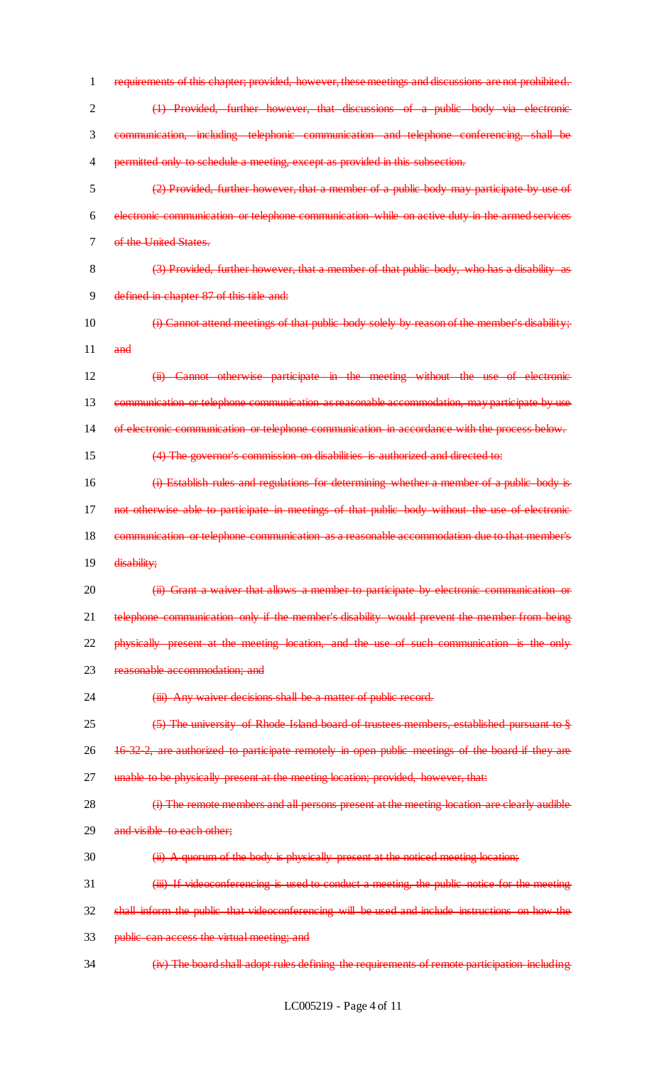requirements of this chapter; provided, however, these meetings and discussions are not prohibited. (1) Provided, further however, that discussions of a public body via electronic communication, including telephonic communication and telephone conferencing, shall be permitted only to schedule a meeting, except as provided in this subsection. (2) Provided, further however, that a member of a public body may participate by use of electronic communication or telephone communication while on active duty in the armed services 7 of the United States. (3) Provided, further however, that a member of that public body, who has a disability as 9 defined in chapter 87 of this title and: (i) Cannot attend meetings of that public body solely by reason of the member's disability; and (ii) Cannot otherwise participate in the meeting without the use of electronic communication or telephone communication as reasonable accommodation, may participate by use of electronic communication or telephone communication in accordance with the process below. (4) The governor's commission on disabilities is authorized and directed to: (i) Establish rules and regulations for determining whether a member of a public body is 17 not otherwise able to participate in meetings of that public body without the use of electronic communication or telephone communication as a reasonable accommodation due to that member's 19 disability; **(ii) Grant a waiver that allows a member to participate by electronic communication or** 21 telephone communication only if the member's disability would prevent the member from being 22 physically present at the meeting location, and the use of such communication is the only reasonable accommodation; and 24 (iii) Any waiver decisions shall be a matter of public record. (5) The university of Rhode Island board of trustees members, established pursuant to § 16-32-2, are authorized to participate remotely in open public meetings of the board if they are 27 unable to be physically present at the meeting location; provided, however, that: **(i)** The remote members and all persons present at the meeting location are clearly audible 29 and visible to each other;  $30 \qquad$  (ii) A quorum of the body is physically present at the noticed meeting location; 31 (iii) If videoconferencing is used to conduct a meeting, the public notice for the meeting shall inform the public that videoconferencing will be used and include instructions on how the 33 public can access the virtual meeting; and (iv) The board shall adopt rules defining the requirements of remote participation including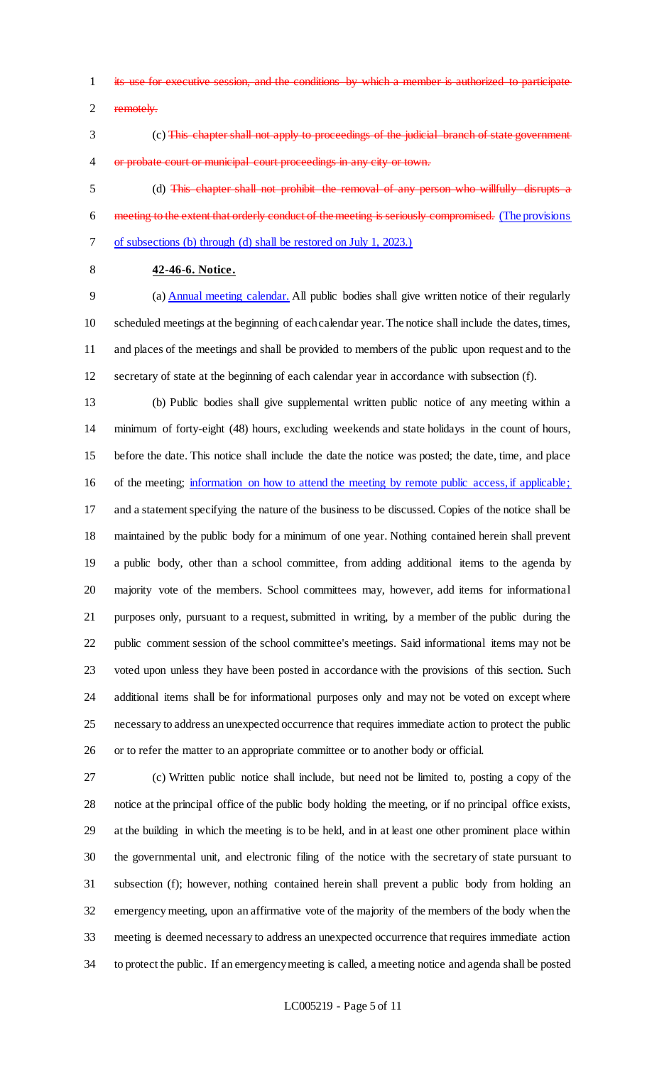- 1 its use for executive session, and the conditions by which a member is authorized
- remotely.
- (c) This chapter shall not apply to proceedings of the judicial branch of state government or probate court or municipal court proceedings in any city or town.

 (d) This chapter shall not prohibit the removal of any person who willfully disrupts a meeting to the extent that orderly conduct of the meeting is seriously compromised. (The provisions of subsections (b) through (d) shall be restored on July 1, 2023.)

# **42-46-6. Notice.**

 (a) Annual meeting calendar. All public bodies shall give written notice of their regularly scheduled meetings at the beginning of each calendar year. The notice shall include the dates, times, and places of the meetings and shall be provided to members of the public upon request and to the secretary of state at the beginning of each calendar year in accordance with subsection (f).

 (b) Public bodies shall give supplemental written public notice of any meeting within a minimum of forty-eight (48) hours, excluding weekends and state holidays in the count of hours, before the date. This notice shall include the date the notice was posted; the date, time, and place 16 of the meeting; information on how to attend the meeting by remote public access, if applicable; and a statement specifying the nature of the business to be discussed. Copies of the notice shall be maintained by the public body for a minimum of one year. Nothing contained herein shall prevent a public body, other than a school committee, from adding additional items to the agenda by majority vote of the members. School committees may, however, add items for informational purposes only, pursuant to a request, submitted in writing, by a member of the public during the public comment session of the school committee's meetings. Said informational items may not be voted upon unless they have been posted in accordance with the provisions of this section. Such additional items shall be for informational purposes only and may not be voted on except where necessary to address an unexpected occurrence that requires immediate action to protect the public or to refer the matter to an appropriate committee or to another body or official.

 (c) Written public notice shall include, but need not be limited to, posting a copy of the notice at the principal office of the public body holding the meeting, or if no principal office exists, at the building in which the meeting is to be held, and in at least one other prominent place within the governmental unit, and electronic filing of the notice with the secretary of state pursuant to subsection (f); however, nothing contained herein shall prevent a public body from holding an emergency meeting, upon an affirmative vote of the majority of the members of the body when the meeting is deemed necessary to address an unexpected occurrence that requires immediate action to protect the public. If an emergency meeting is called, a meeting notice and agenda shall be posted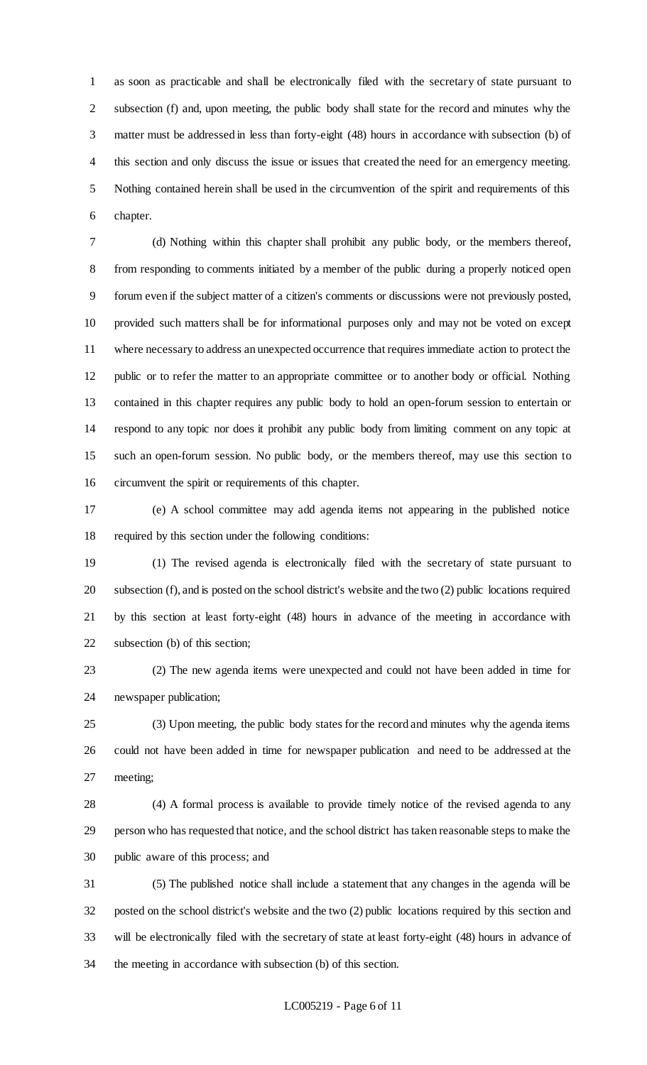as soon as practicable and shall be electronically filed with the secretary of state pursuant to subsection (f) and, upon meeting, the public body shall state for the record and minutes why the matter must be addressed in less than forty-eight (48) hours in accordance with subsection (b) of this section and only discuss the issue or issues that created the need for an emergency meeting. Nothing contained herein shall be used in the circumvention of the spirit and requirements of this chapter.

 (d) Nothing within this chapter shall prohibit any public body, or the members thereof, from responding to comments initiated by a member of the public during a properly noticed open forum even if the subject matter of a citizen's comments or discussions were not previously posted, provided such matters shall be for informational purposes only and may not be voted on except where necessary to address an unexpected occurrence that requires immediate action to protect the public or to refer the matter to an appropriate committee or to another body or official. Nothing contained in this chapter requires any public body to hold an open-forum session to entertain or respond to any topic nor does it prohibit any public body from limiting comment on any topic at such an open-forum session. No public body, or the members thereof, may use this section to circumvent the spirit or requirements of this chapter.

 (e) A school committee may add agenda items not appearing in the published notice required by this section under the following conditions:

 (1) The revised agenda is electronically filed with the secretary of state pursuant to subsection (f), and is posted on the school district's website and the two (2) public locations required by this section at least forty-eight (48) hours in advance of the meeting in accordance with subsection (b) of this section;

 (2) The new agenda items were unexpected and could not have been added in time for newspaper publication;

 (3) Upon meeting, the public body states for the record and minutes why the agenda items could not have been added in time for newspaper publication and need to be addressed at the meeting;

 (4) A formal process is available to provide timely notice of the revised agenda to any person who has requested that notice, and the school district has taken reasonable steps to make the public aware of this process; and

 (5) The published notice shall include a statement that any changes in the agenda will be posted on the school district's website and the two (2) public locations required by this section and will be electronically filed with the secretary of state at least forty-eight (48) hours in advance of the meeting in accordance with subsection (b) of this section.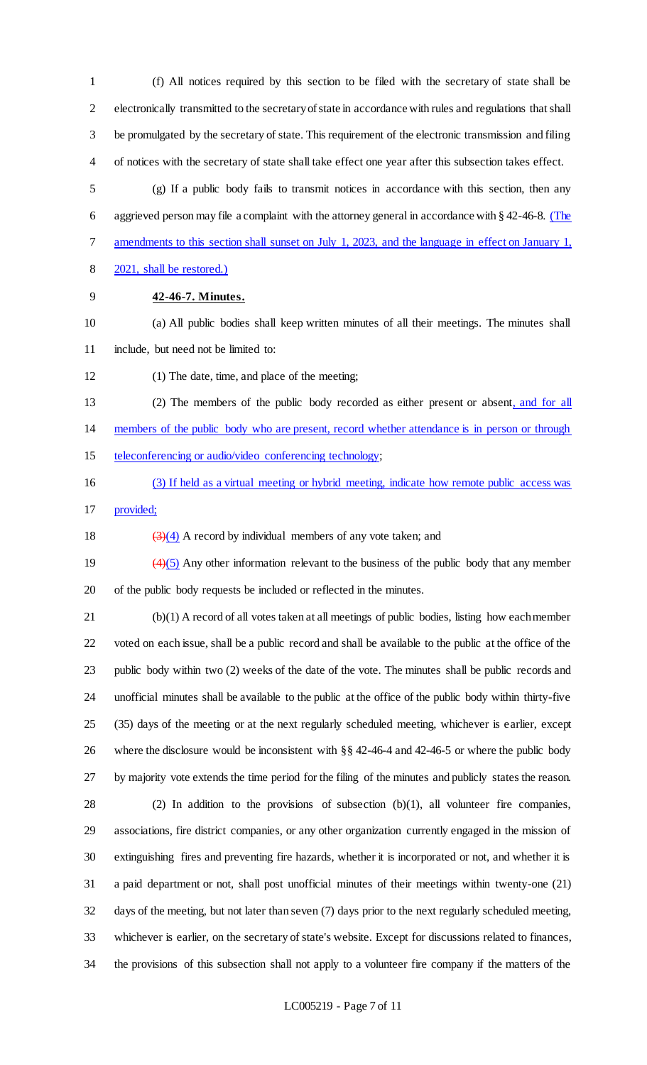(f) All notices required by this section to be filed with the secretary of state shall be electronically transmitted to the secretary of state in accordance with rules and regulations that shall be promulgated by the secretary of state. This requirement of the electronic transmission and filing of notices with the secretary of state shall take effect one year after this subsection takes effect.

 (g) If a public body fails to transmit notices in accordance with this section, then any 6 aggrieved person may file a complaint with the attorney general in accordance with § 42-46-8. (The amendments to this section shall sunset on July 1, 2023, and the language in effect on January 1,

- 2021, shall be restored.)
- 

## **42-46-7. Minutes.**

 (a) All public bodies shall keep written minutes of all their meetings. The minutes shall include, but need not be limited to:

(1) The date, time, and place of the meeting;

 (2) The members of the public body recorded as either present or absent, and for all members of the public body who are present, record whether attendance is in person or through teleconferencing or audio/video conferencing technology;

- 
- (3) If held as a virtual meeting or hybrid meeting, indicate how remote public access was provided;
- 18  $(3)(4)$  A record by individual members of any vote taken; and

19  $\left(4\right)\left(5\right)$  Any other information relevant to the business of the public body that any member of the public body requests be included or reflected in the minutes.

 (b)(1) A record of all votes taken at all meetings of public bodies, listing how each member voted on each issue, shall be a public record and shall be available to the public at the office of the public body within two (2) weeks of the date of the vote. The minutes shall be public records and unofficial minutes shall be available to the public at the office of the public body within thirty-five (35) days of the meeting or at the next regularly scheduled meeting, whichever is earlier, except where the disclosure would be inconsistent with §§ 42-46-4 and 42-46-5 or where the public body by majority vote extends the time period for the filing of the minutes and publicly states the reason. (2) In addition to the provisions of subsection (b)(1), all volunteer fire companies, associations, fire district companies, or any other organization currently engaged in the mission of extinguishing fires and preventing fire hazards, whether it is incorporated or not, and whether it is a paid department or not, shall post unofficial minutes of their meetings within twenty-one (21) days of the meeting, but not later than seven (7) days prior to the next regularly scheduled meeting, whichever is earlier, on the secretary of state's website. Except for discussions related to finances,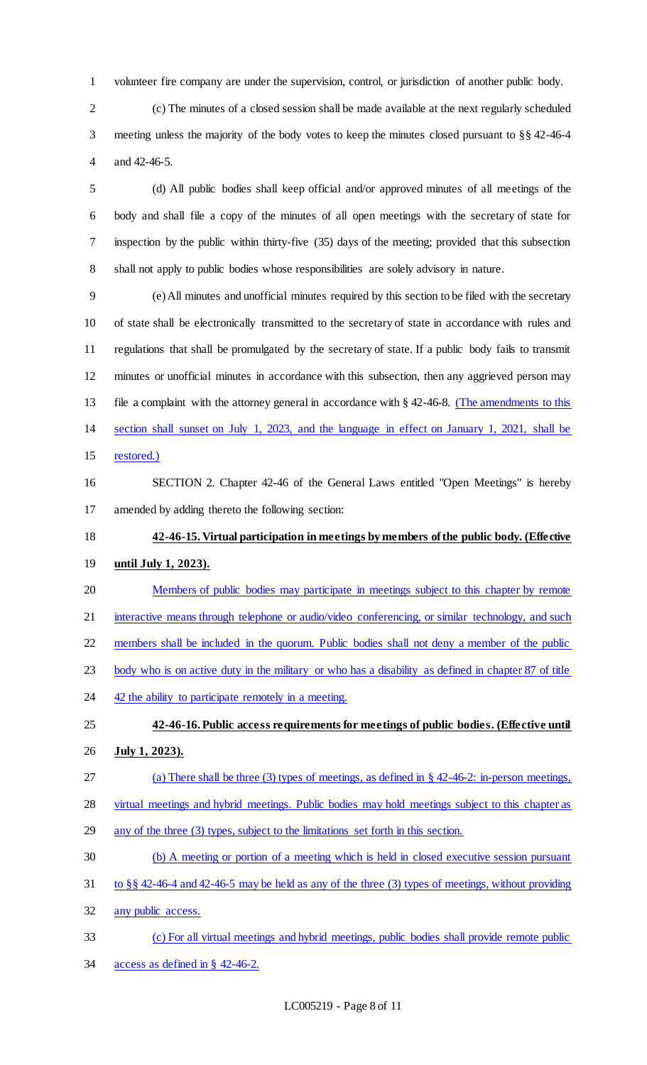volunteer fire company are under the supervision, control, or jurisdiction of another public body.

 (c) The minutes of a closed session shall be made available at the next regularly scheduled meeting unless the majority of the body votes to keep the minutes closed pursuant to §§ 42-46-4 and 42-46-5.

 (d) All public bodies shall keep official and/or approved minutes of all meetings of the body and shall file a copy of the minutes of all open meetings with the secretary of state for inspection by the public within thirty-five (35) days of the meeting; provided that this subsection shall not apply to public bodies whose responsibilities are solely advisory in nature.

 (e) All minutes and unofficial minutes required by this section to be filed with the secretary of state shall be electronically transmitted to the secretary of state in accordance with rules and regulations that shall be promulgated by the secretary of state. If a public body fails to transmit minutes or unofficial minutes in accordance with this subsection, then any aggrieved person may 13 file a complaint with the attorney general in accordance with § 42-46-8. (The amendments to this section shall sunset on July 1, 2023, and the language in effect on January 1, 2021, shall be restored.)

 SECTION 2. Chapter 42-46 of the General Laws entitled "Open Meetings" is hereby amended by adding thereto the following section:

 **42-46-15. Virtual participation in meetings by members of the public body. (Effective until July 1, 2023).**

- Members of public bodies may participate in meetings subject to this chapter by remote
- 21 interactive means through telephone or audio/video conferencing, or similar technology, and such
- members shall be included in the quorum. Public bodies shall not deny a member of the public
- body who is on active duty in the military or who has a disability as defined in chapter 87 of title
- 24 42 the ability to participate remotely in a meeting.
- **42-46-16.Public access requirements for meetings of public bodies. (Effective until July 1, 2023).**
- (a) There shall be three (3) types of meetings, as defined in § 42-46-2: in-person meetings,
- virtual meetings and hybrid meetings. Public bodies may hold meetings subject to this chapter as
- any of the three (3) types, subject to the limitations set forth in this section.
- (b) A meeting or portion of a meeting which is held in closed executive session pursuant
- to §§ 42-46-4 and 42-46-5 may be held as any of the three (3) types of meetings, without providing
- any public access.
- (c) For all virtual meetings and hybrid meetings, public bodies shall provide remote public access as defined in § 42-46-2.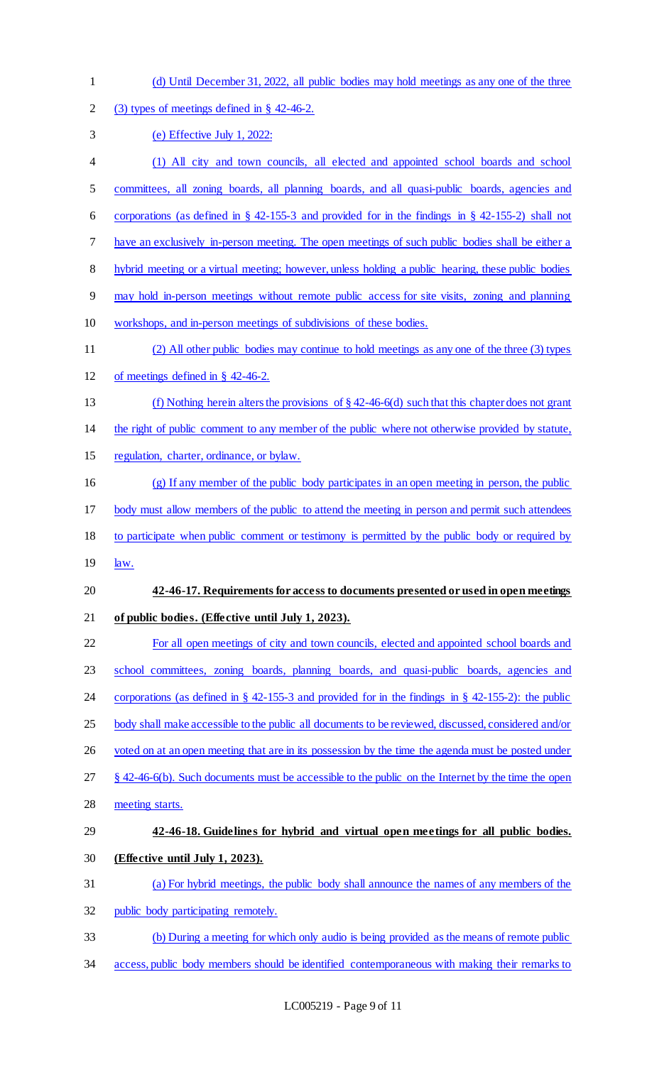(d) Until December 31, 2022, all public bodies may hold meetings as any one of the three (3) types of meetings defined in § 42-46-2. (e) Effective July 1, 2022: (1) All city and town councils, all elected and appointed school boards and school committees, all zoning boards, all planning boards, and all quasi-public boards, agencies and corporations (as defined in § 42-155-3 and provided for in the findings in § 42-155-2) shall not have an exclusively in-person meeting. The open meetings of such public bodies shall be either a hybrid meeting or a virtual meeting; however, unless holding a public hearing, these public bodies may hold in-person meetings without remote public access for site visits, zoning and planning workshops, and in-person meetings of subdivisions of these bodies. (2) All other public bodies may continue to hold meetings as any one of the three (3) types of meetings defined in § 42-46-2. (f) Nothing herein alters the provisions of § 42-46-6(d) such that this chapter does not grant the right of public comment to any member of the public where not otherwise provided by statute, regulation, charter, ordinance, or bylaw. (g) If any member of the public body participates in an open meeting in person, the public body must allow members of the public to attend the meeting in person and permit such attendees to participate when public comment or testimony is permitted by the public body or required by 19 <u>law.</u> **42-46-17. Requirements for access to documents presented or used in open meetings of public bodies. (Effective until July 1, 2023).** For all open meetings of city and town councils, elected and appointed school boards and 23 school committees, zoning boards, planning boards, and quasi-public boards, agencies and corporations (as defined in § 42-155-3 and provided for in the findings in § 42-155-2): the public 25 body shall make accessible to the public all documents to be reviewed, discussed, considered and/or 26 voted on at an open meeting that are in its possession by the time the agenda must be posted under § 42-46-6(b). Such documents must be accessible to the public on the Internet by the time the open meeting starts. **42-46-18. Guidelines for hybrid and virtual open meetings for all public bodies. (Effective until July 1, 2023).**  (a) For hybrid meetings, the public body shall announce the names of any members of the public body participating remotely. (b) During a meeting for which only audio is being provided as the means of remote public access, public body members should be identified contemporaneous with making their remarks to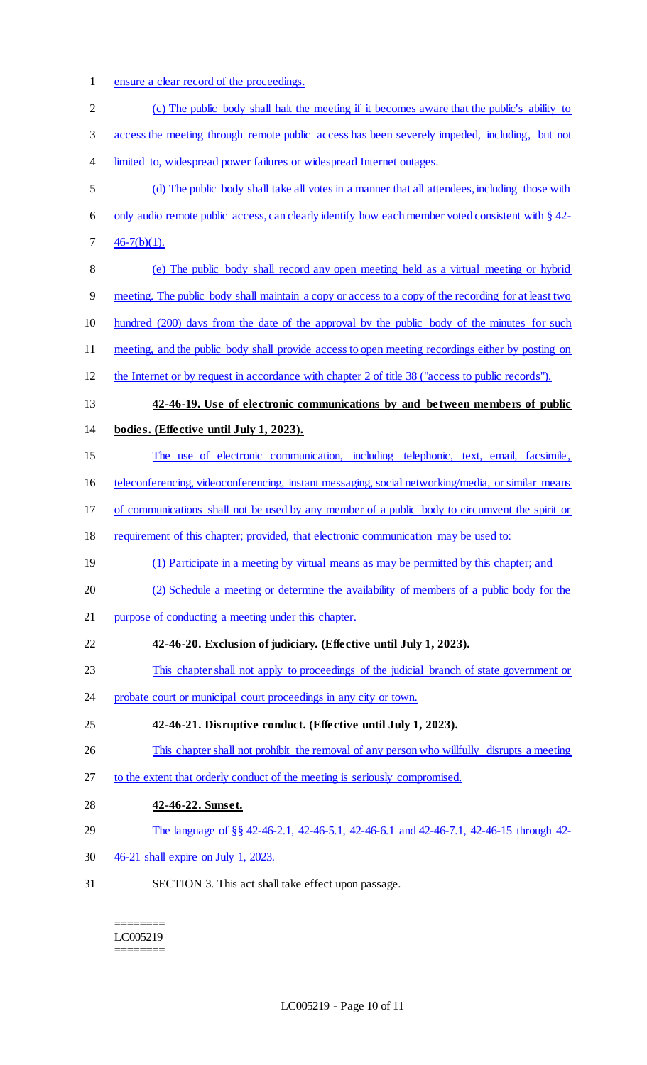1 ensure a clear record of the proceedings.

| $\overline{2}$ | (c) The public body shall halt the meeting if it becomes aware that the public's ability to          |
|----------------|------------------------------------------------------------------------------------------------------|
| 3              | access the meeting through remote public access has been severely impeded, including, but not        |
| $\overline{4}$ | limited to, widespread power failures or widespread Internet outages.                                |
| 5              | (d) The public body shall take all votes in a manner that all attendees, including those with        |
| 6              | only audio remote public access, can clearly identify how each member voted consistent with § 42-    |
| 7              | $46-7(b)(1)$ .                                                                                       |
| $8\,$          | (e) The public body shall record any open meeting held as a virtual meeting or hybrid                |
| 9              | meeting. The public body shall maintain a copy or access to a copy of the recording for at least two |
| 10             | hundred (200) days from the date of the approval by the public body of the minutes for such          |
| 11             | meeting, and the public body shall provide access to open meeting recordings either by posting on    |
| 12             | the Internet or by request in accordance with chapter 2 of title 38 ("access to public records").    |
| 13             | 42-46-19. Use of electronic communications by and between members of public                          |
| 14             | bodies. (Effective until July 1, 2023).                                                              |
| 15             | The use of electronic communication, including telephonic, text, email, facsimile,                   |
| 16             | teleconferencing, videoconferencing, instant messaging, social networking/media, or similar means    |
| 17             | of communications shall not be used by any member of a public body to circumvent the spirit or       |
| 18             | requirement of this chapter; provided, that electronic communication may be used to:                 |
| 19             | (1) Participate in a meeting by virtual means as may be permitted by this chapter; and               |
| 20             | (2) Schedule a meeting or determine the availability of members of a public body for the             |
| 21             | purpose of conducting a meeting under this chapter.                                                  |
| 22             | 42-46-20. Exclusion of judiciary. (Effective until July 1, 2023).                                    |
| 23             | This chapter shall not apply to proceedings of the judicial branch of state government or            |
| 24             | probate court or municipal court proceedings in any city or town.                                    |
| 25             | 42-46-21. Disruptive conduct. (Effective until July 1, 2023).                                        |
| 26             | This chapter shall not prohibit the removal of any person who willfully disrupts a meeting           |
| 27             | to the extent that orderly conduct of the meeting is seriously compromised.                          |
| 28             | 42-46-22. Sunset.                                                                                    |
| 29             | The language of §§ 42-46-2.1, 42-46-5.1, 42-46-6.1 and 42-46-7.1, 42-46-15 through 42-               |
| 30             | 46-21 shall expire on July 1, 2023.                                                                  |
| 31             | SECTION 3. This act shall take effect upon passage.                                                  |

======== LC005219 ========